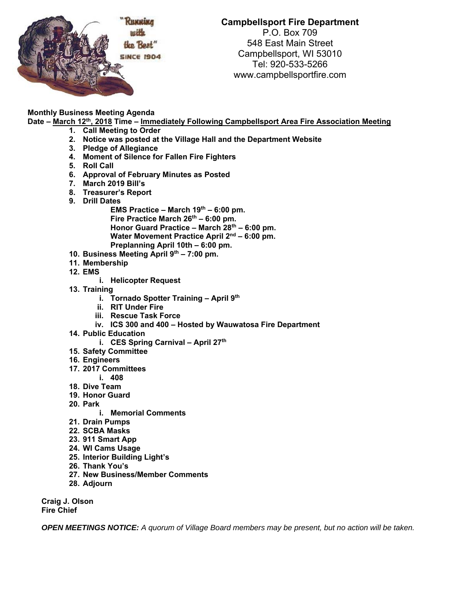

## **Campbellsport Fire Department**  P.O. Box 709 548 East Main Street Campbellsport, WI 53010 Tel: 920-533-5266 www.campbellsportfire.com

## **Monthly Business Meeting Agenda**

**Date – March 12th, 2018 Time – Immediately Following Campbellsport Area Fire Association Meeting** 

- **1. Call Meeting to Order**
- **2. Notice was posted at the Village Hall and the Department Website**
- **3. Pledge of Allegiance**
- **4. Moment of Silence for Fallen Fire Fighters**
- **5. Roll Call**
- **6. Approval of February Minutes as Posted**
- **7. March 2019 Bill's**
- **8. Treasurer's Report**
- **9. Drill Dates**

EMS Practice – March 19<sup>th</sup> – 6:00 pm. Fire Practice March 26<sup>th</sup> – 6:00 pm. Honor Guard Practice – March 28<sup>th</sup> – 6:00 pm. Water Movement Practice April 2<sup>nd</sup> – 6:00 pm. **Preplanning April 10th – 6:00 pm.** 

- **10. Business Meeting April 9th 7:00 pm.**
- **11. Membership**
- **12. EMS** 
	- **i. Helicopter Request**
- **13. Training** 
	- **i. Tornado Spotter Training April 9th**
	- **ii. RIT Under Fire**
	- **iii. Rescue Task Force**
	- **iv. ICS 300 and 400 Hosted by Wauwatosa Fire Department**
- **14. Public Education** 
	- **i.** CES Spring Carnival April 27<sup>th</sup>
- **15. Safety Committee**
- **16. Engineers**
- **17. 2017 Committees**
- **i. 408**
- **18. Dive Team**
- **19. Honor Guard**
- **20. Park** 
	- **i. Memorial Comments**
- **21. Drain Pumps**
- **22. SCBA Masks**
- **23. 911 Smart App**
- **24. WI Cams Usage**
- **25. Interior Building Light's**
- **26. Thank You's**
- **27. New Business/Member Comments**
- **28. Adjourn**

**Craig J. Olson Fire Chief** 

*OPEN MEETINGS NOTICE: A quorum of Village Board members may be present, but no action will be taken.*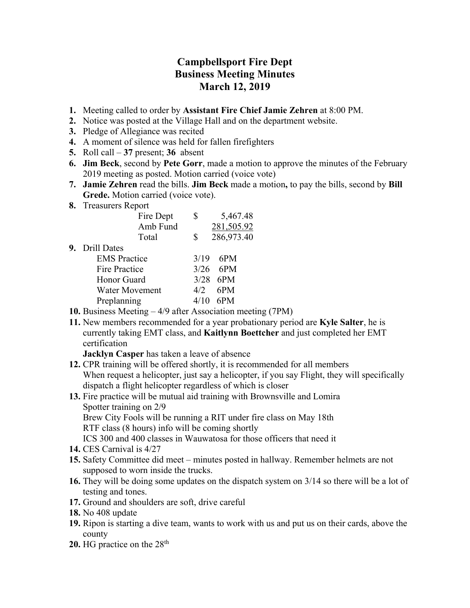## **Campbellsport Fire Dept Business Meeting Minutes March 12, 2019**

- **1.** Meeting called to order by **Assistant Fire Chief Jamie Zehren** at 8:00 PM.
- **2.** Notice was posted at the Village Hall and on the department website.
- **3.** Pledge of Allegiance was recited
- **4.** A moment of silence was held for fallen firefighters
- **5.** Roll call **37** present; **36** absent
- **6. Jim Beck**, second by **Pete Gorr**, made a motion to approve the minutes of the February 2019 meeting as posted. Motion carried (voice vote)
- **7. Jamie Zehren** read the bills. **Jim Beck** made a motion**,** to pay the bills, second by **Bill Grede.** Motion carried (voice vote).
- **8.** Treasurers Report

|                       |           | 5,467.48           |
|-----------------------|-----------|--------------------|
| Amb Fund              |           | 281,505.92         |
| Total                 | S         | 286,973.40         |
| 9. Drill Dates        |           |                    |
| <b>EMS</b> Practice   |           | 6PM                |
| <b>Fire Practice</b>  |           | $3/26$ 6PM         |
| Honor Guard           |           | $3/28$ 6PM         |
| <b>Water Movement</b> | 4/2       | 6PM                |
| Preplanning           |           | 6PM                |
|                       | Fire Dept | \$<br>3/19<br>4/10 |

- **10.** Business Meeting 4/9 after Association meeting (7PM)
- **11.** New members recommended for a year probationary period are **Kyle Salter**, he is currently taking EMT class, and **Kaitlynn Boettcher** and just completed her EMT certification

**Jacklyn Casper** has taken a leave of absence

- **12.** CPR training will be offered shortly, it is recommended for all members When request a helicopter, just say a helicopter, if you say Flight, they will specifically dispatch a flight helicopter regardless of which is closer
- **13.** Fire practice will be mutual aid training with Brownsville and Lomira Spotter training on 2/9 Brew City Fools will be running a RIT under fire class on May 18th

RTF class (8 hours) info will be coming shortly

ICS 300 and 400 classes in Wauwatosa for those officers that need it

- **14.** CES Carnival is 4/27
- **15.** Safety Committee did meet minutes posted in hallway. Remember helmets are not supposed to worn inside the trucks.
- **16.** They will be doing some updates on the dispatch system on 3/14 so there will be a lot of testing and tones.
- **17.** Ground and shoulders are soft, drive careful
- **18.** No 408 update
- **19.** Ripon is starting a dive team, wants to work with us and put us on their cards, above the county
- 20. HG practice on the 28<sup>th</sup>